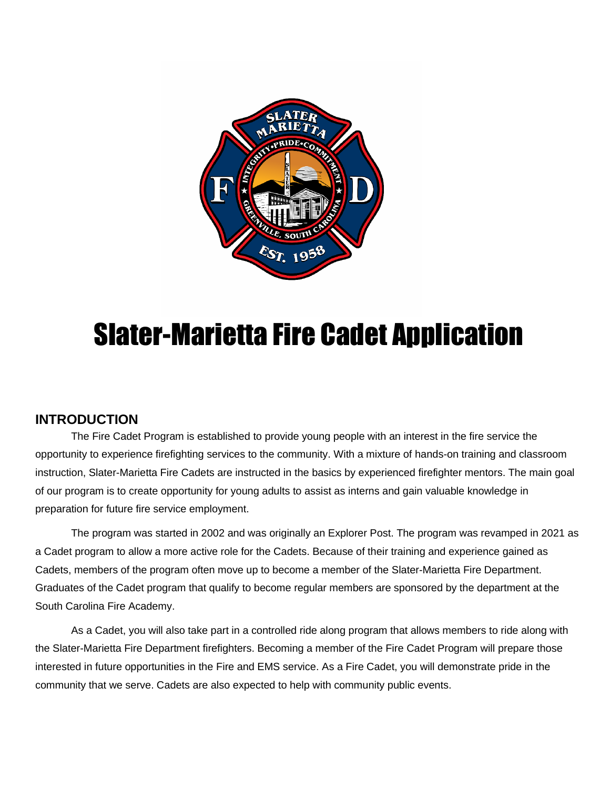

# Slater-Marietta Fire Cadet Application

### **INTRODUCTION**

The Fire Cadet Program is established to provide young people with an interest in the fire service the opportunity to experience firefighting services to the community. With a mixture of hands-on training and classroom instruction, Slater-Marietta Fire Cadets are instructed in the basics by experienced firefighter mentors. The main goal of our program is to create opportunity for young adults to assist as interns and gain valuable knowledge in preparation for future fire service employment.

The program was started in 2002 and was originally an Explorer Post. The program was revamped in 2021 as a Cadet program to allow a more active role for the Cadets. Because of their training and experience gained as Cadets, members of the program often move up to become a member of the Slater-Marietta Fire Department. Graduates of the Cadet program that qualify to become regular members are sponsored by the department at the South Carolina Fire Academy.

As a Cadet, you will also take part in a controlled ride along program that allows members to ride along with the Slater-Marietta Fire Department firefighters. Becoming a member of the Fire Cadet Program will prepare those interested in future opportunities in the Fire and EMS service. As a Fire Cadet, you will demonstrate pride in the community that we serve. Cadets are also expected to help with community public events.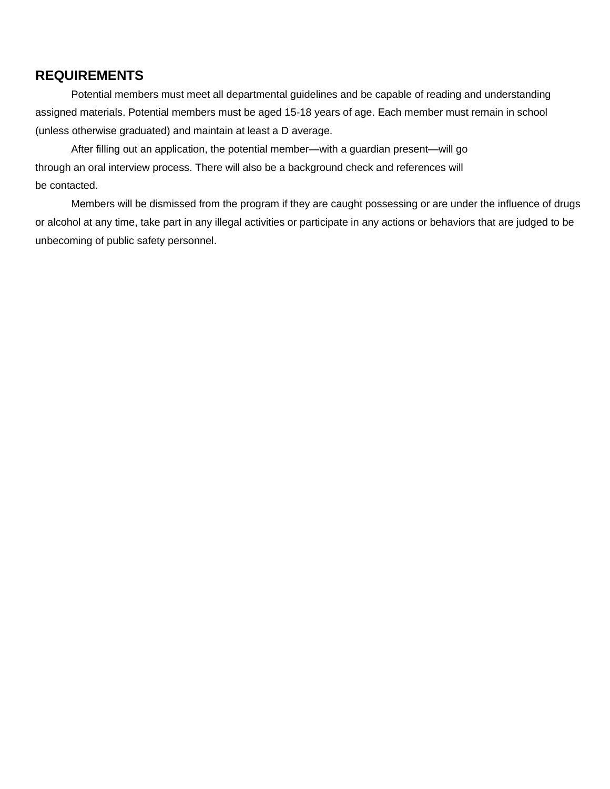#### **REQUIREMENTS**

Potential members must meet all departmental guidelines and be capable of reading and understanding assigned materials. Potential members must be aged 15-18 years of age. Each member must remain in school (unless otherwise graduated) and maintain at least a D average.

After filling out an application, the potential member—with a guardian present—will go through an oral interview process. There will also be a background check and references will be contacted.

Members will be dismissed from the program if they are caught possessing or are under the influence of drugs or alcohol at any time, take part in any illegal activities or participate in any actions or behaviors that are judged to be unbecoming of public safety personnel.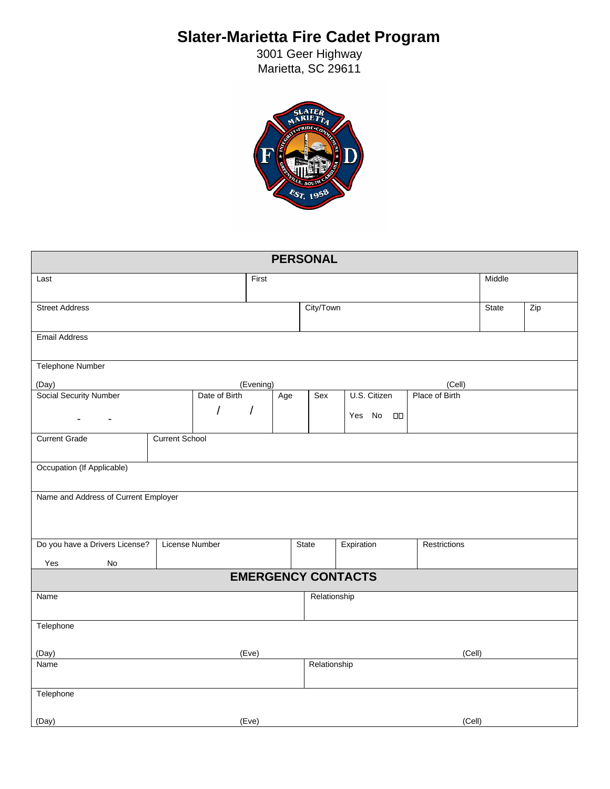## **Slater-Marietta Fire Cadet Program**

3001 Geer Highway Marietta, SC 29611



| <b>PERSONAL</b>                      |                       |                           |                        |              |                      |                |       |     |  |  |
|--------------------------------------|-----------------------|---------------------------|------------------------|--------------|----------------------|----------------|-------|-----|--|--|
| Last                                 |                       | First                     |                        |              |                      | Middle         |       |     |  |  |
|                                      |                       |                           |                        |              |                      |                |       |     |  |  |
| <b>Street Address</b>                |                       |                           |                        | City/Town    |                      |                | State | Zip |  |  |
|                                      |                       |                           |                        |              |                      |                |       |     |  |  |
| <b>Email Address</b>                 |                       |                           |                        |              |                      |                |       |     |  |  |
| <b>Telephone Number</b>              |                       |                           |                        |              |                      |                |       |     |  |  |
| (Day)                                |                       | (Evening)                 |                        |              |                      | (Cell)         |       |     |  |  |
| <b>Social Security Number</b>        |                       | Date of Birth<br>Age      |                        | Sex          | U.S. Citizen         | Place of Birth |       |     |  |  |
|                                      | $\prime$              | $\sqrt{2}$                |                        |              | Yes No<br>$\Box\Box$ |                |       |     |  |  |
| ۰<br>$\blacksquare$                  |                       |                           |                        |              |                      |                |       |     |  |  |
| <b>Current Grade</b>                 | <b>Current School</b> |                           |                        |              |                      |                |       |     |  |  |
|                                      |                       |                           |                        |              |                      |                |       |     |  |  |
| Occupation (If Applicable)           |                       |                           |                        |              |                      |                |       |     |  |  |
| Name and Address of Current Employer |                       |                           |                        |              |                      |                |       |     |  |  |
|                                      |                       |                           |                        |              |                      |                |       |     |  |  |
|                                      |                       |                           |                        |              |                      |                |       |     |  |  |
|                                      |                       |                           |                        |              |                      |                |       |     |  |  |
| Do you have a Drivers License?       | License Number        |                           |                        | State        | Expiration           | Restrictions   |       |     |  |  |
| No<br>Yes                            |                       |                           |                        |              |                      |                |       |     |  |  |
|                                      |                       | <b>EMERGENCY CONTACTS</b> |                        |              |                      |                |       |     |  |  |
| Name                                 |                       |                           |                        | Relationship |                      |                |       |     |  |  |
|                                      |                       |                           |                        |              |                      |                |       |     |  |  |
| Telephone                            |                       |                           |                        |              |                      |                |       |     |  |  |
|                                      |                       |                           |                        |              |                      |                |       |     |  |  |
| (Day)<br>(Eve)<br>Name               |                       |                           | (Cell)<br>Relationship |              |                      |                |       |     |  |  |
|                                      |                       |                           |                        |              |                      |                |       |     |  |  |
| Telephone                            |                       |                           |                        |              |                      |                |       |     |  |  |
|                                      |                       |                           |                        |              |                      |                |       |     |  |  |
| (Day)                                |                       | (Eve)                     |                        |              |                      | (Cell)         |       |     |  |  |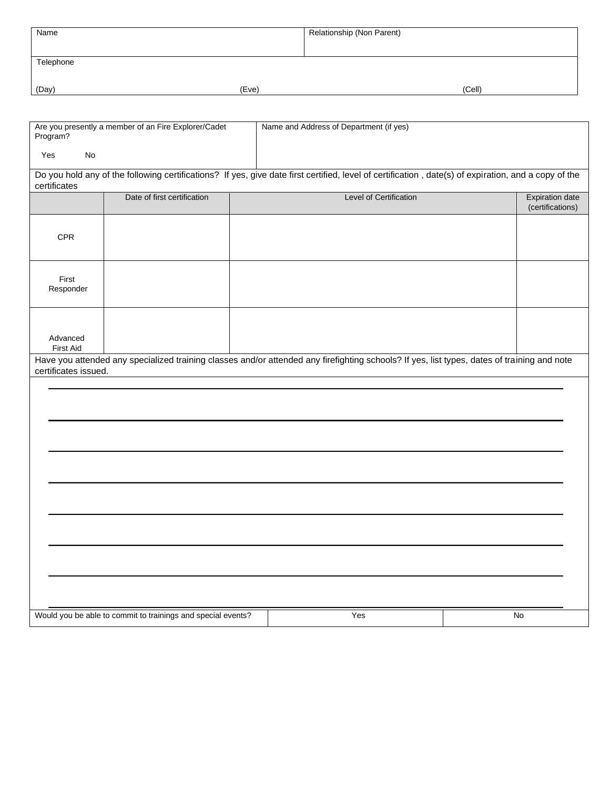| Name      |       | Relationship (Non Parent) |        |
|-----------|-------|---------------------------|--------|
|           |       |                           |        |
| Telephone |       |                           |        |
|           |       |                           |        |
| (Day)     | (Eve) |                           | (Cell) |

| Are you presently a member of an Fire Explorer/Cadet<br>Program?                                                                                                     |                                                              |  | Name and Address of Department (if yes) |  |                                            |  |  |
|----------------------------------------------------------------------------------------------------------------------------------------------------------------------|--------------------------------------------------------------|--|-----------------------------------------|--|--------------------------------------------|--|--|
| Yes<br><b>No</b>                                                                                                                                                     |                                                              |  |                                         |  |                                            |  |  |
| Do you hold any of the following certifications? If yes, give date first certified, level of certification, date(s) of expiration, and a copy of the<br>certificates |                                                              |  |                                         |  |                                            |  |  |
|                                                                                                                                                                      | Date of first certification                                  |  | Level of Certification                  |  | <b>Expiration date</b><br>(certifications) |  |  |
| CPR                                                                                                                                                                  |                                                              |  |                                         |  |                                            |  |  |
| First<br>Responder                                                                                                                                                   |                                                              |  |                                         |  |                                            |  |  |
| Advanced<br>First Aid                                                                                                                                                |                                                              |  |                                         |  |                                            |  |  |
| Have you attended any specialized training classes and/or attended any firefighting schools? If yes, list types, dates of training and note<br>certificates issued.  |                                                              |  |                                         |  |                                            |  |  |
|                                                                                                                                                                      |                                                              |  |                                         |  |                                            |  |  |
|                                                                                                                                                                      |                                                              |  |                                         |  |                                            |  |  |
|                                                                                                                                                                      |                                                              |  |                                         |  |                                            |  |  |
|                                                                                                                                                                      |                                                              |  |                                         |  |                                            |  |  |
|                                                                                                                                                                      |                                                              |  |                                         |  |                                            |  |  |
|                                                                                                                                                                      |                                                              |  |                                         |  |                                            |  |  |
|                                                                                                                                                                      |                                                              |  |                                         |  |                                            |  |  |
|                                                                                                                                                                      |                                                              |  |                                         |  |                                            |  |  |
|                                                                                                                                                                      |                                                              |  |                                         |  |                                            |  |  |
|                                                                                                                                                                      | Would you be able to commit to trainings and special events? |  | Yes                                     |  | No                                         |  |  |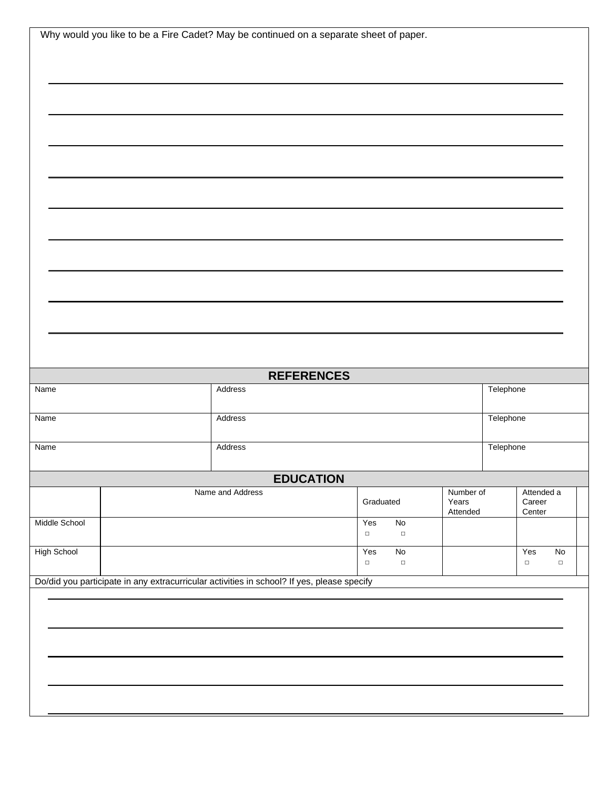|                    | Why would you like to be a Fire Cadet? May be continued on a separate sheet of paper.      |                   |                                             |  |                                |               |                         |  |
|--------------------|--------------------------------------------------------------------------------------------|-------------------|---------------------------------------------|--|--------------------------------|---------------|-------------------------|--|
|                    |                                                                                            |                   |                                             |  |                                |               |                         |  |
|                    |                                                                                            |                   |                                             |  |                                |               |                         |  |
|                    |                                                                                            |                   |                                             |  |                                |               |                         |  |
|                    |                                                                                            |                   |                                             |  |                                |               |                         |  |
|                    |                                                                                            |                   |                                             |  |                                |               |                         |  |
|                    |                                                                                            |                   |                                             |  |                                |               |                         |  |
|                    |                                                                                            |                   |                                             |  |                                |               |                         |  |
|                    |                                                                                            |                   |                                             |  |                                |               |                         |  |
|                    |                                                                                            |                   |                                             |  |                                |               |                         |  |
|                    |                                                                                            |                   |                                             |  |                                |               |                         |  |
|                    |                                                                                            |                   |                                             |  |                                |               |                         |  |
|                    |                                                                                            |                   |                                             |  |                                |               |                         |  |
|                    |                                                                                            |                   |                                             |  |                                |               |                         |  |
|                    |                                                                                            | <b>REFERENCES</b> |                                             |  |                                |               |                         |  |
| Name               | Address                                                                                    |                   |                                             |  | Telephone                      |               |                         |  |
| Name               |                                                                                            | Address           |                                             |  | Telephone                      |               |                         |  |
| Name               |                                                                                            | Address           |                                             |  | Telephone                      |               |                         |  |
|                    |                                                                                            | <b>EDUCATION</b>  |                                             |  |                                |               |                         |  |
|                    | Name and Address                                                                           |                   | Number of<br>Graduated<br>Years<br>Attended |  | Attended a<br>Career<br>Center |               |                         |  |
| Middle School      |                                                                                            |                   | Yes<br>$\overline{N}$<br>$\Box$<br>$\Box$   |  |                                |               |                         |  |
| <b>High School</b> |                                                                                            |                   | Yes<br>$\overline{N}$<br>$\Box$<br>$\Box$   |  |                                | Yes<br>$\Box$ | $\mathsf{No}$<br>$\Box$ |  |
|                    | Do/did you participate in any extracurricular activities in school? If yes, please specify |                   |                                             |  |                                |               |                         |  |
|                    |                                                                                            |                   |                                             |  |                                |               |                         |  |
|                    |                                                                                            |                   |                                             |  |                                |               |                         |  |
|                    |                                                                                            |                   |                                             |  |                                |               |                         |  |
|                    |                                                                                            |                   |                                             |  |                                |               |                         |  |
|                    |                                                                                            |                   |                                             |  |                                |               |                         |  |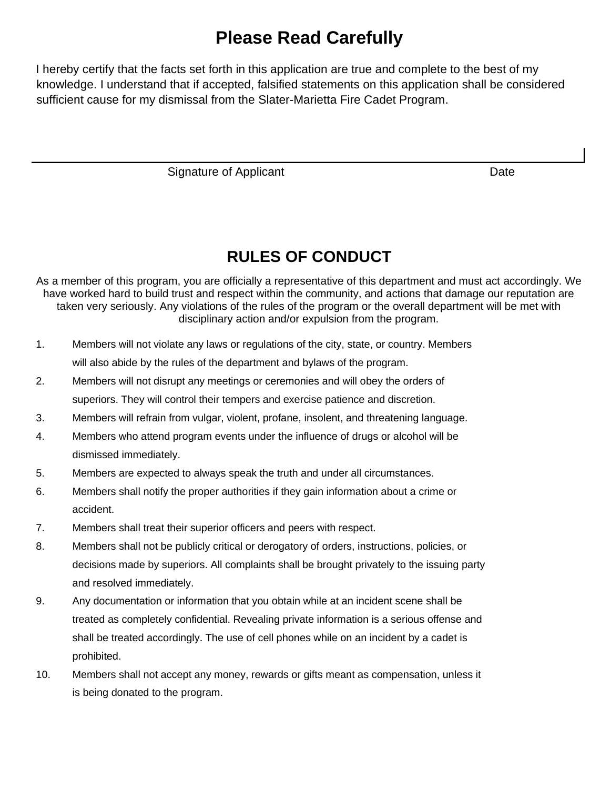### **Please Read Carefully**

I hereby certify that the facts set forth in this application are true and complete to the best of my knowledge. I understand that if accepted, falsified statements on this application shall be considered sufficient cause for my dismissal from the Slater-Marietta Fire Cadet Program.

Signature of Applicant Date Date Date

### **RULES OF CONDUCT**

As a member of this program, you are officially a representative of this department and must act accordingly. We have worked hard to build trust and respect within the community, and actions that damage our reputation are taken very seriously. Any violations of the rules of the program or the overall department will be met with disciplinary action and/or expulsion from the program.

- 1. Members will not violate any laws or regulations of the city, state, or country. Members will also abide by the rules of the department and bylaws of the program.
- 2. Members will not disrupt any meetings or ceremonies and will obey the orders of superiors. They will control their tempers and exercise patience and discretion.
- 3. Members will refrain from vulgar, violent, profane, insolent, and threatening language.
- 4. Members who attend program events under the influence of drugs or alcohol will be dismissed immediately.
- 5. Members are expected to always speak the truth and under all circumstances.
- 6. Members shall notify the proper authorities if they gain information about a crime or accident.
- 7. Members shall treat their superior officers and peers with respect.
- 8. Members shall not be publicly critical or derogatory of orders, instructions, policies, or decisions made by superiors. All complaints shall be brought privately to the issuing party and resolved immediately.
- 9. Any documentation or information that you obtain while at an incident scene shall be treated as completely confidential. Revealing private information is a serious offense and shall be treated accordingly. The use of cell phones while on an incident by a cadet is prohibited.
- 10. Members shall not accept any money, rewards or gifts meant as compensation, unless it is being donated to the program.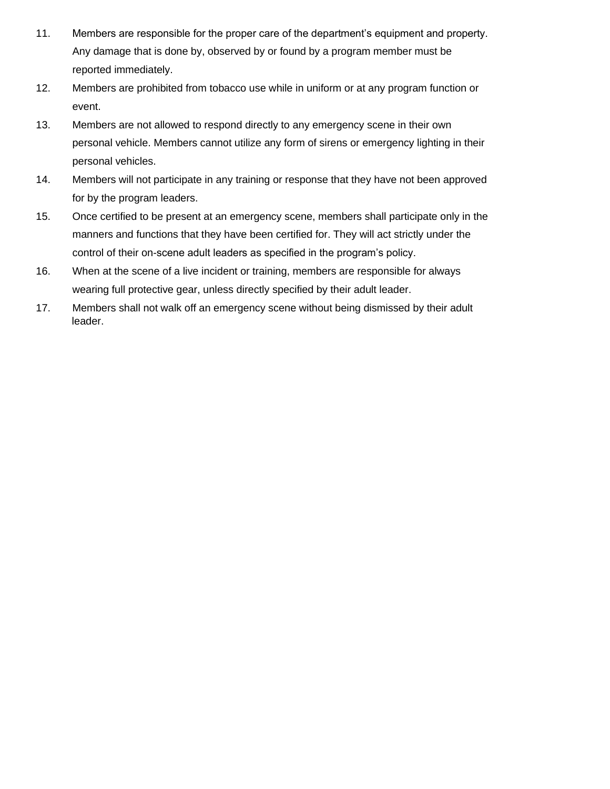- 11. Members are responsible for the proper care of the department's equipment and property. Any damage that is done by, observed by or found by a program member must be reported immediately.
- 12. Members are prohibited from tobacco use while in uniform or at any program function or event.
- 13. Members are not allowed to respond directly to any emergency scene in their own personal vehicle. Members cannot utilize any form of sirens or emergency lighting in their personal vehicles.
- 14. Members will not participate in any training or response that they have not been approved for by the program leaders.
- 15. Once certified to be present at an emergency scene, members shall participate only in the manners and functions that they have been certified for. They will act strictly under the control of their on-scene adult leaders as specified in the program's policy.
- 16. When at the scene of a live incident or training, members are responsible for always wearing full protective gear, unless directly specified by their adult leader.
- 17. Members shall not walk off an emergency scene without being dismissed by their adult leader.